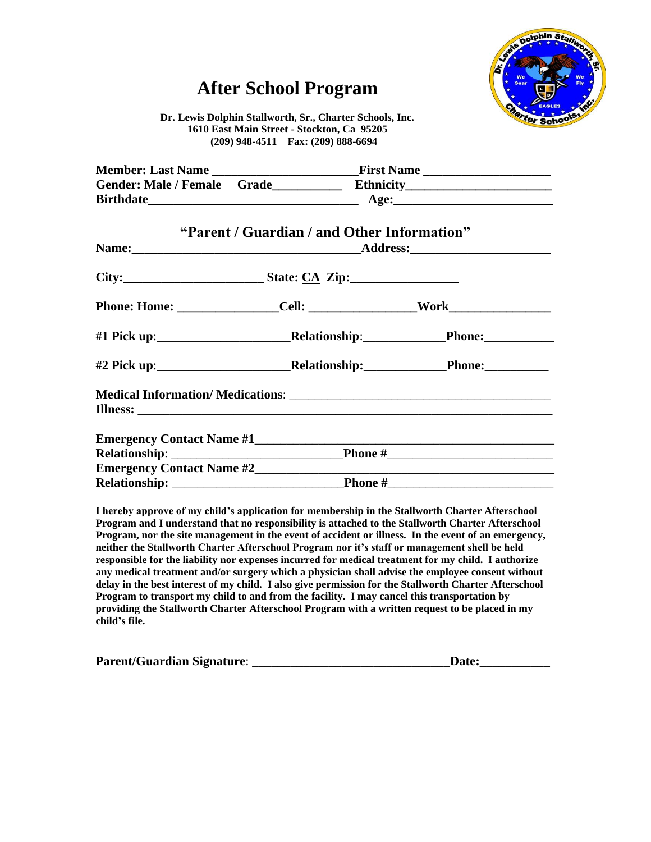# **After School Program**



**Dr. Lewis Dolphin Stallworth, Sr., Charter Schools, Inc. 1610 East Main Street - Stockton, Ca 95205 (209) 948-4511 Fax: (209) 888-6694**

|                                                                                                                                                                                                                                     | "Parent / Guardian / and Other Information" |  |
|-------------------------------------------------------------------------------------------------------------------------------------------------------------------------------------------------------------------------------------|---------------------------------------------|--|
|                                                                                                                                                                                                                                     |                                             |  |
|                                                                                                                                                                                                                                     |                                             |  |
|                                                                                                                                                                                                                                     |                                             |  |
| #1 Pick up:______________________________Relationship:_________________Phone:______________                                                                                                                                         |                                             |  |
|                                                                                                                                                                                                                                     |                                             |  |
| <b>Illness:</b> The contract of the contract of the contract of the contract of the contract of the contract of the contract of the contract of the contract of the contract of the contract of the contract of the contract of the |                                             |  |
|                                                                                                                                                                                                                                     |                                             |  |
|                                                                                                                                                                                                                                     |                                             |  |
|                                                                                                                                                                                                                                     |                                             |  |
|                                                                                                                                                                                                                                     |                                             |  |

**I hereby approve of my child's application for membership in the Stallworth Charter Afterschool Program and I understand that no responsibility is attached to the Stallworth Charter Afterschool Program, nor the site management in the event of accident or illness. In the event of an emergency, neither the Stallworth Charter Afterschool Program nor it's staff or management shell be held responsible for the liability nor expenses incurred for medical treatment for my child. I authorize any medical treatment and/or surgery which a physician shall advise the employee consent without delay in the best interest of my child. I also give permission for the Stallworth Charter Afterschool Program to transport my child to and from the facility. I may cancel this transportation by providing the Stallworth Charter Afterschool Program with a written request to be placed in my child's file.**

| <b>Parent/Guardian Signature:</b> | Date: |
|-----------------------------------|-------|
|-----------------------------------|-------|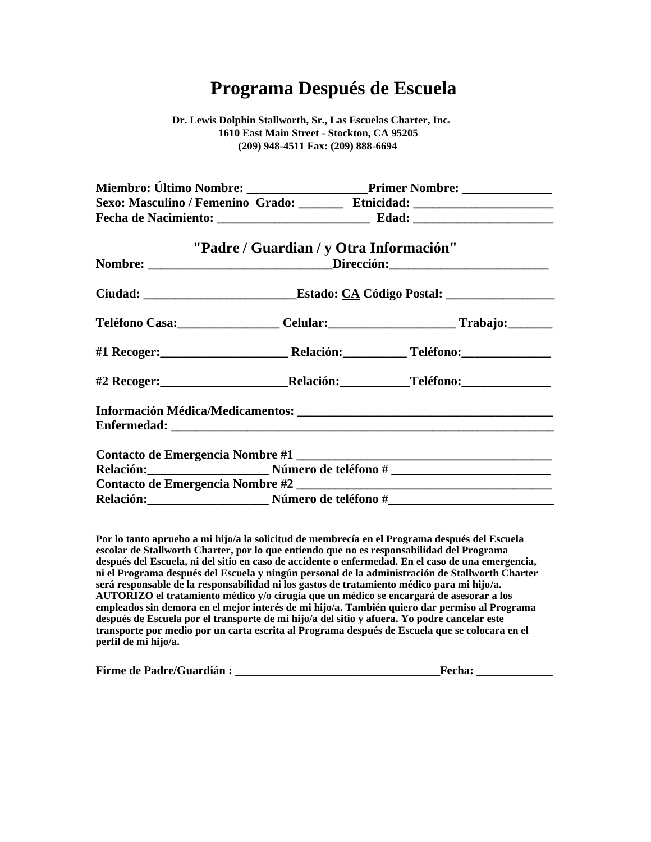# **Programa Después de Escuela**

**Dr. Lewis Dolphin Stallworth, Sr., Las Escuelas Charter, Inc 1610 East Main Street - Stockton, CA 95205 (209) 948-4511 Fax: (209) 888-6694**

| Miembro: Último Nombre: ___________________________Primer Nombre: ______________  |                                                                                  |  |
|-----------------------------------------------------------------------------------|----------------------------------------------------------------------------------|--|
| Sexo: Masculino / Femenino Grado: ________ Etnicidad: __________________________  |                                                                                  |  |
|                                                                                   |                                                                                  |  |
| "Padre / Guardian / y Otra Información"                                           |                                                                                  |  |
|                                                                                   | Nombre: ______________________________Dirección:________________________________ |  |
| Ciudad: ________________________________Estado: CA Código Postal: _______________ |                                                                                  |  |
| Teléfono Casa:__________________Celular:_________________________Trabajo:________ |                                                                                  |  |
|                                                                                   |                                                                                  |  |
|                                                                                   |                                                                                  |  |
|                                                                                   |                                                                                  |  |
|                                                                                   |                                                                                  |  |
|                                                                                   |                                                                                  |  |
| Relación: Mimero de teléfono #                                                    |                                                                                  |  |
|                                                                                   |                                                                                  |  |
|                                                                                   |                                                                                  |  |

**Por lo tanto apruebo a mi hijo/a la solicitud de membrecía en el Programa después del Escuela escolar de Stallworth Charter, por lo que entiendo que no es responsabilidad del Programa después del Escuela, ni del sitio en caso de accidente o enfermedad. En el caso de una emergencia, ni el Programa después del Escuela y ningún personal de la administración de Stallworth Charter será responsable de la responsabilidad ni los gastos de tratamiento médico para mi hijo/a. AUTORIZO el tratamiento médico y/o cirugía que un médico se encargará de asesorar a los empleados sin demora en el mejor interés de mi hijo/a. También quiero dar permiso al Programa después de Escuela por el transporte de mi hijo/a del sitio y afuera. Yo podre cancelar este transporte por medio por un carta escrita al Programa después de Escuela que se colocara en el perfil de mi hijo/a.**

| <b>Firme de Padre/Guardián:</b> | Fecha: |  |
|---------------------------------|--------|--|
|                                 |        |  |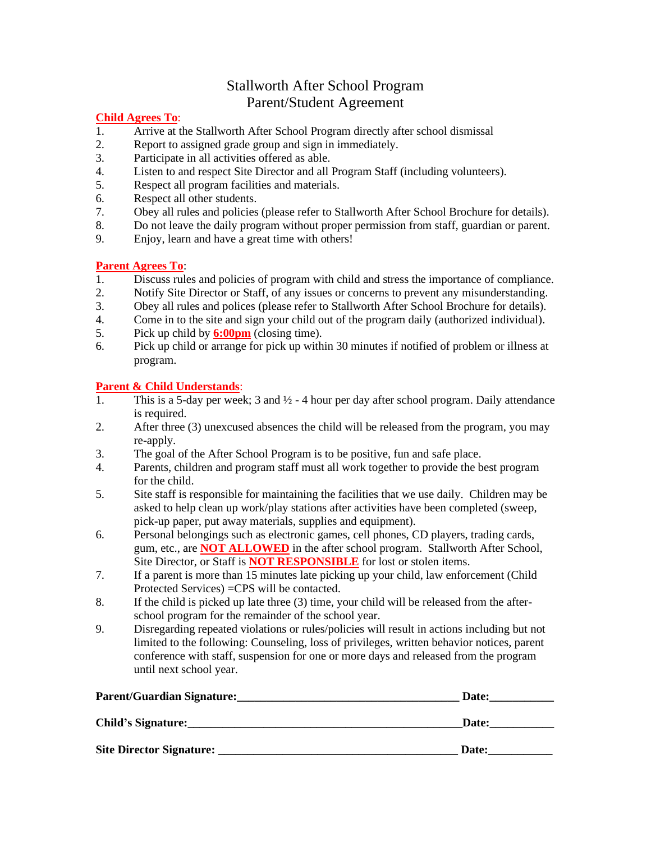### Stallworth After School Program Parent/Student Agreement

#### **Child Agrees To**:

- 1. Arrive at the Stallworth After School Program directly after school dismissal
- 2. Report to assigned grade group and sign in immediately.
- 3. Participate in all activities offered as able.
- 4. Listen to and respect Site Director and all Program Staff (including volunteers).
- 5. Respect all program facilities and materials.
- 6. Respect all other students.
- 7. Obey all rules and policies (please refer to Stallworth After School Brochure for details).
- 8. Do not leave the daily program without proper permission from staff, guardian or parent.
- 9. Enjoy, learn and have a great time with others!

#### **Parent Agrees To**:

- 1. Discuss rules and policies of program with child and stress the importance of compliance.
- 2. Notify Site Director or Staff, of any issues or concerns to prevent any misunderstanding.
- 3. Obey all rules and polices (please refer to Stallworth After School Brochure for details).
- 4. Come in to the site and sign your child out of the program daily (authorized individual).
- 5. Pick up child by **6:00pm** (closing time).
- 6. Pick up child or arrange for pick up within 30 minutes if notified of problem or illness at program.

#### **Parent & Child Understands**:

- 1. This is a 5-day per week; 3 and  $\frac{1}{2}$  4 hour per day after school program. Daily attendance is required.
- 2. After three (3) unexcused absences the child will be released from the program, you may re-apply.
- 3. The goal of the After School Program is to be positive, fun and safe place.
- 4. Parents, children and program staff must all work together to provide the best program for the child.
- 5. Site staff is responsible for maintaining the facilities that we use daily. Children may be asked to help clean up work/play stations after activities have been completed (sweep, pick-up paper, put away materials, supplies and equipment).
- 6. Personal belongings such as electronic games, cell phones, CD players, trading cards, gum, etc., are **NOT ALLOWED** in the after school program. Stallworth After School, Site Director, or Staff is **NOT RESPONSIBLE** for lost or stolen items.
- 7. If a parent is more than 15 minutes late picking up your child, law enforcement (Child Protected Services) =CPS will be contacted.
- 8. If the child is picked up late three (3) time, your child will be released from the afterschool program for the remainder of the school year.
- 9. Disregarding repeated violations or rules/policies will result in actions including but not limited to the following: Counseling, loss of privileges, written behavior notices, parent conference with staff, suspension for one or more days and released from the program until next school year.

| <b>Parent/Guardian Signature:</b> | Date: |
|-----------------------------------|-------|
| <b>Child's Signature:</b>         | Date: |
| Site Director Signature:          | Date: |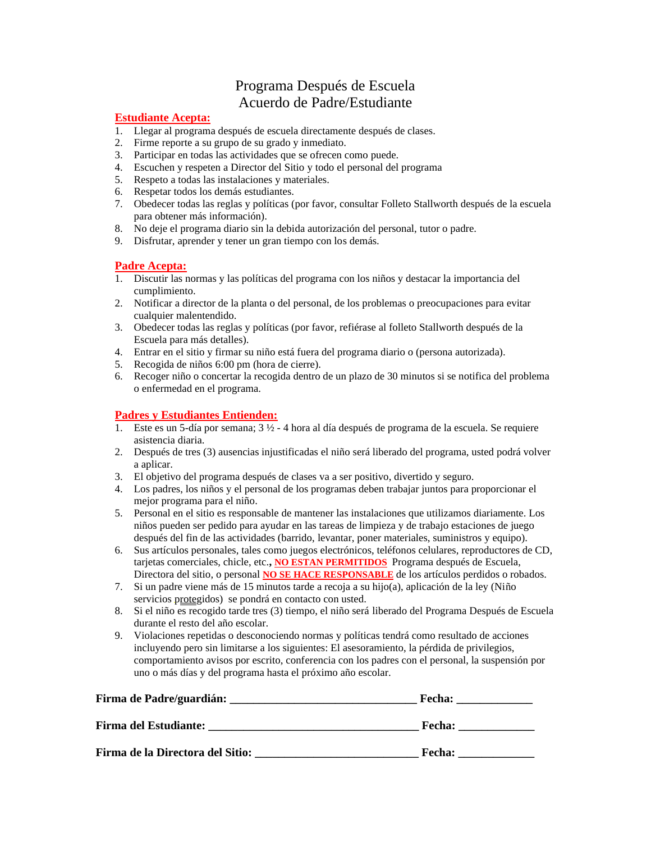### Programa Después de Escuela Acuerdo de Padre/Estudiante

#### **Estudiante Acepta:**

- 1. Llegar al programa después de escuela directamente después de clases.
- 2. Firme reporte a su grupo de su grado y inmediato.
- 3. Participar en todas las actividades que se ofrecen como puede.
- 4. Escuchen y respeten a Director del Sitio y todo el personal del programa
- 5. Respeto a todas las instalaciones y materiales.
- 6. Respetar todos los demás estudiantes.
- 7. Obedecer todas las reglas y políticas (por favor, consultar Folleto Stallworth después de la escuela para obtener más información).
- 8. No deje el programa diario sin la debida autorización del personal, tutor o padre.
- 9. Disfrutar, aprender y tener un gran tiempo con los demás.

#### **Padre Acepta:**

- 1. Discutir las normas y las políticas del programa con los niños y destacar la importancia del cumplimiento.
- 2. Notificar a director de la planta o del personal, de los problemas o preocupaciones para evitar cualquier malentendido.
- 3. Obedecer todas las reglas y políticas (por favor, refiérase al folleto Stallworth después de la Escuela para más detalles).
- 4. Entrar en el sitio y firmar su niño está fuera del programa diario o (persona autorizada).
- 5. Recogida de niños 6:00 pm (hora de cierre).
- 6. Recoger niño o concertar la recogida dentro de un plazo de 30 minutos si se notifica del problema o enfermedad en el programa.

#### **Padres y Estudiantes Entienden:**

- 1. Este es un 5-día por semana;  $3\frac{1}{2}$  4 hora al día después de programa de la escuela. Se requiere asistencia diaria.
- 2. Después de tres (3) ausencias injustificadas el niño será liberado del programa, usted podrá volver a aplicar.
- 3. El objetivo del programa después de clases va a ser positivo, divertido y seguro.
- 4. Los padres, los niños y el personal de los programas deben trabajar juntos para proporcionar el mejor programa para el niño.
- 5. Personal en el sitio es responsable de mantener las instalaciones que utilizamos diariamente. Los niños pueden ser pedido para ayudar en las tareas de limpieza y de trabajo estaciones de juego después del fin de las actividades (barrido, levantar, poner materiales, suministros y equipo).
- 6. Sus artículos personales, tales como juegos electrónicos, teléfonos celulares, reproductores de CD, tarjetas comerciales, chicle, etc.**, NO ESTAN PERMITIDOS** Programa después de Escuela, Directora del sitio, o personal **NO SE HACE RESPONSABLE** de los artículos perdidos o robados.
- 7. Si un padre viene más de 15 minutos tarde a recoja a su hijo(a), aplicación de la ley (Niño servicios protegidos) se pondrá en contacto con usted.
- 8. Si el niño es recogido tarde tres (3) tiempo, el niño será liberado del Programa Después de Escuela durante el resto del año escolar.
- 9. Violaciones repetidas o desconociendo normas y políticas tendrá como resultado de acciones incluyendo pero sin limitarse a los siguientes: El asesoramiento, la pérdida de privilegios, comportamiento avisos por escrito, conferencia con los padres con el personal, la suspensión por uno o más días y del programa hasta el próximo año escolar.

| Firma de Padre/guardián:         | <b>Fecha:</b> |
|----------------------------------|---------------|
| <b>Firma del Estudiante:</b>     | <b>Fecha:</b> |
| Firma de la Directora del Sitio: | <b>Fecha:</b> |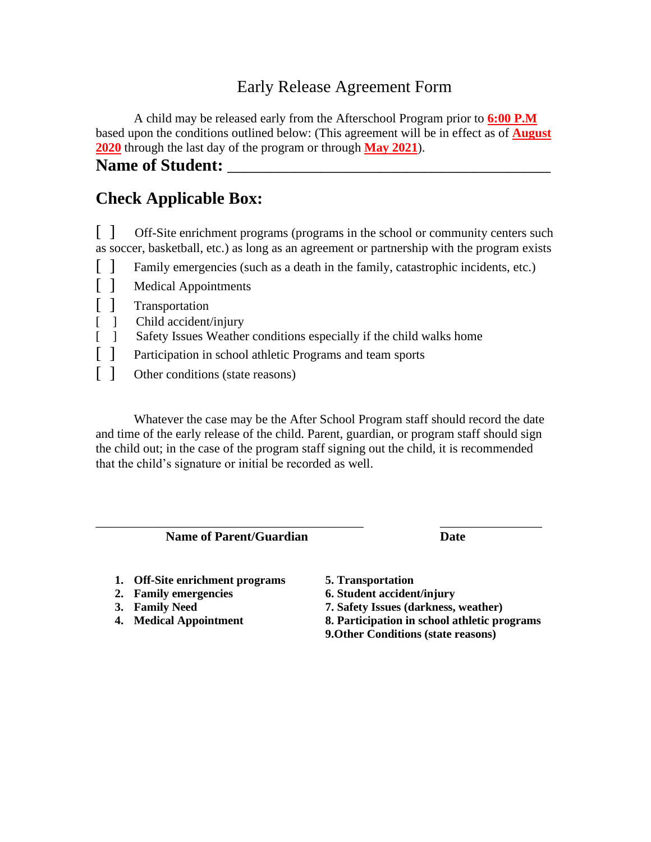## Early Release Agreement Form

A child may be released early from the Afterschool Program prior to **6:00 P.M** based upon the conditions outlined below: (This agreement will be in effect as of **August 2020** through the last day of the program or through **May 2021**).

Name of Student:

## **Check Applicable Box:**

[ ] Off-Site enrichment programs (programs in the school or community centers such as soccer, basketball, etc.) as long as an agreement or partnership with the program exists

- [ ] Family emergencies (such as a death in the family, catastrophic incidents, etc.)
- [ ] Medical Appointments
- [ ] Transportation
- [ ] Child accident/injury
- [ ] Safety Issues Weather conditions especially if the child walks home
- [] Participation in school athletic Programs and team sports
- [ ] Other conditions (state reasons)

Whatever the case may be the After School Program staff should record the date and time of the early release of the child. Parent, guardian, or program staff should sign the child out; in the case of the program staff signing out the child, it is recommended that the child's signature or initial be recorded as well.

\_\_\_\_\_\_\_\_\_\_\_\_\_\_\_\_\_\_\_\_\_\_\_\_\_\_\_\_\_\_\_\_\_\_\_\_\_\_\_\_\_\_ \_\_\_\_\_\_\_\_\_\_\_\_\_\_\_\_

**Name of Parent/Guardian Date** 

- **1. Off-Site enrichment programs 5. Transportation**
- 
- 
- 

- **2. Family emergencies 6. Student accident/injury**
- **3. Family Need 7. Safety Issues (darkness, weather)**
- **4. Medical Appointment 8. Participation in school athletic programs**
	- **9.Other Conditions (state reasons)**